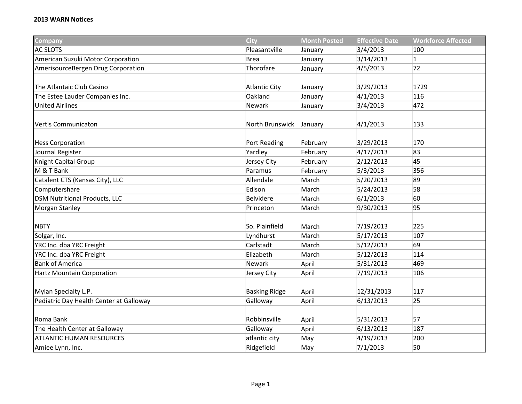## **2013 WARN Notices**

| Company                                 | City                 | <b>Month Posted</b> | <b>Effective Date</b> | <b>Workforce Affected</b> |
|-----------------------------------------|----------------------|---------------------|-----------------------|---------------------------|
| <b>AC SLOTS</b>                         | Pleasantville        | January             | 3/4/2013              | 100                       |
| American Suzuki Motor Corporation       | <b>Brea</b>          | January             | 3/14/2013             | $\mathbf{1}$              |
| AmerisourceBergen Drug Corporation      | Thorofare            | January             | 4/5/2013              | 72                        |
|                                         |                      |                     |                       |                           |
| The Atlantaic Club Casino               | <b>Atlantic City</b> | January             | 3/29/2013             | 1729                      |
| The Estee Lauder Companies Inc.         | Oakland              | January             | 4/1/2013              | 116                       |
| <b>United Airlines</b>                  | Newark               | January             | 3/4/2013              | 472                       |
|                                         |                      |                     |                       |                           |
| Vertis Communicaton                     | North Brunswick      | January             | 4/1/2013              | 133                       |
|                                         |                      |                     |                       |                           |
| <b>Hess Corporation</b>                 | Port Reading         | February            | 3/29/2013             | 170                       |
| Journal Register                        | Yardley              | February            | 4/17/2013             | 83                        |
| Knight Capital Group                    | Jersey City          | February            | 2/12/2013             | 45                        |
| M & T Bank                              | Paramus              | February            | 5/3/2013              | 356                       |
| Catalent CTS (Kansas City), LLC         | Allendale            | March               | 5/20/2013             | 89                        |
| Computershare                           | Edison               | March               | 5/24/2013             | 58                        |
| <b>DSM Nutritional Products, LLC</b>    | Belvidere            | March               | 6/1/2013              | 60                        |
| <b>Morgan Stanley</b>                   | Princeton            | March               | 9/30/2013             | 95                        |
|                                         |                      |                     |                       |                           |
| <b>NBTY</b>                             | So. Plainfield       | March               | 7/19/2013             | 225                       |
| Solgar, Inc.                            | Lyndhurst            | March               | 5/17/2013             | 107                       |
| YRC Inc. dba YRC Freight                | Carlstadt            | March               | 5/12/2013             | 69                        |
| YRC Inc. dba YRC Freight                | Elizabeth            | March               | 5/12/2013             | 114                       |
| <b>Bank of America</b>                  | Newark               | April               | 5/31/2013             | 469                       |
| <b>Hartz Mountain Corporation</b>       | Jersey City          | April               | 7/19/2013             | 106                       |
|                                         |                      |                     |                       |                           |
| Mylan Specialty L.P.                    | <b>Basking Ridge</b> | April               | 12/31/2013            | 117                       |
| Pediatric Day Health Center at Galloway | Galloway             | April               | 6/13/2013             | 25                        |
|                                         |                      |                     |                       |                           |
| Roma Bank                               | Robbinsville         | April               | 5/31/2013             | 57                        |
| The Health Center at Galloway           | Galloway             | April               | 6/13/2013             | 187                       |
| <b>ATLANTIC HUMAN RESOURCES</b>         | atlantic city        | May                 | 4/19/2013             | 200                       |
| Amiee Lynn, Inc.                        | Ridgefield           | May                 | 7/1/2013              | 50                        |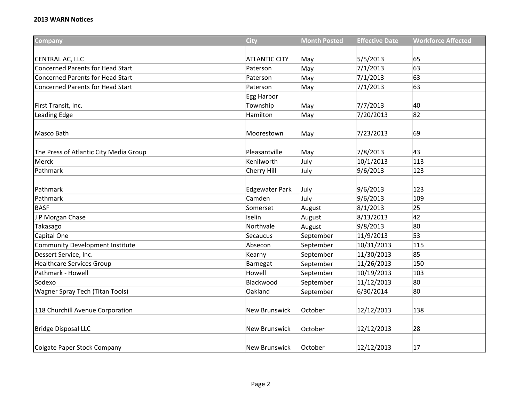## **2013 WARN Notices**

| <b>Company</b>                          | <b>City</b>           | <b>Month Posted</b> | <b>Effective Date</b> | <b>Workforce Affected</b> |
|-----------------------------------------|-----------------------|---------------------|-----------------------|---------------------------|
|                                         |                       |                     |                       |                           |
| CENTRAL AC, LLC                         | <b>ATLANTIC CITY</b>  | May                 | 5/5/2013              | 65                        |
| <b>Concerned Parents for Head Start</b> | Paterson              | May                 | 7/1/2013              | 63                        |
| <b>Concerned Parents for Head Start</b> | Paterson              | May                 | 7/1/2013              | 63                        |
| <b>Concerned Parents for Head Start</b> | Paterson              | May                 | 7/1/2013              | 63                        |
|                                         | Egg Harbor            |                     |                       |                           |
| First Transit, Inc.                     | Township              | May                 | 7/7/2013              | 40                        |
| Leading Edge                            | Hamilton              | May                 | 7/20/2013             | 82                        |
| Masco Bath                              | Moorestown            | May                 | 7/23/2013             | 69                        |
| The Press of Atlantic City Media Group  | Pleasantville         | May                 | 7/8/2013              | 43                        |
| Merck                                   | Kenilworth            | July                | 10/1/2013             | 113                       |
| Pathmark                                | Cherry Hill           | July                | 9/6/2013              | 123                       |
| Pathmark                                | <b>Edgewater Park</b> | July                | 9/6/2013              | 123                       |
| Pathmark                                | Camden                | July                | 9/6/2013              | 109                       |
| <b>BASF</b>                             | Somerset              | August              | 8/1/2013              | 25                        |
| P Morgan Chase                          | Iselin                | August              | 8/13/2013             | 42                        |
| Takasago                                | Northvale             | August              | 9/8/2013              | 80                        |
| Capital One                             | Secaucus              | September           | 11/9/2013             | 53                        |
| <b>Community Development Institute</b>  | Absecon               | September           | 10/31/2013            | 115                       |
| Dessert Service, Inc.                   | Kearny                | September           | 11/30/2013            | 85                        |
| <b>Healthcare Services Group</b>        | Barnegat              | September           | 11/26/2013            | 150                       |
| Pathmark - Howell                       | Howell                | September           | 10/19/2013            | 103                       |
| Sodexo                                  | Blackwood             | September           | 11/12/2013            | 80                        |
| Wagner Spray Tech (Titan Tools)         | Oakland               | September           | 6/30/2014             | 80                        |
| 118 Churchill Avenue Corporation        | <b>New Brunswick</b>  | October             | 12/12/2013            | 138                       |
| <b>Bridge Disposal LLC</b>              | <b>New Brunswick</b>  | October             | 12/12/2013            | 28                        |
| Colgate Paper Stock Company             | <b>New Brunswick</b>  | October             | 12/12/2013            | 17                        |